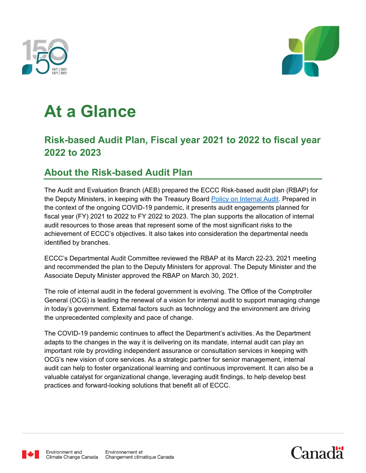



# **At a Glance**

## **Risk-based Audit Plan, Fiscal year 2021 to 2022 to fiscal year 2022 to 2023**

## **About the Risk-based Audit Plan**

The Audit and Evaluation Branch (AEB) prepared the ECCC Risk-based audit plan (RBAP) for the Deputy Ministers, in keeping with the Treasury Board [Policy on Internal Audit.](https://www.tbs-sct.gc.ca/pol/doc-eng.aspx?id=16484) Prepared in the context of the ongoing COVID-19 pandemic, it presents audit engagements planned for fiscal year (FY) 2021 to 2022 to FY 2022 to 2023. The plan supports the allocation of internal audit resources to those areas that represent some of the most significant risks to the achievement of ECCC's objectives. It also takes into consideration the departmental needs identified by branches.

ECCC's Departmental Audit Committee reviewed the RBAP at its March 22-23, 2021 meeting and recommended the plan to the Deputy Ministers for approval. The Deputy Minister and the Associate Deputy Minister approved the RBAP on March 30, 2021.

The role of internal audit in the federal government is evolving. The Office of the Comptroller General (OCG) is leading the renewal of a vision for internal audit to support managing change in today's government. External factors such as technology and the environment are driving the unprecedented complexity and pace of change.

The COVID-19 pandemic continues to affect the Department's activities. As the Department adapts to the changes in the way it is delivering on its mandate, internal audit can play an important role by providing independent assurance or consultation services in keeping with OCG's new vision of core services. As a strategic partner for senior management, internal audit can help to foster organizational learning and continuous improvement. It can also be a valuable catalyst for organizational change, leveraging audit findings, to help develop best practices and forward-looking solutions that benefit all of ECCC.



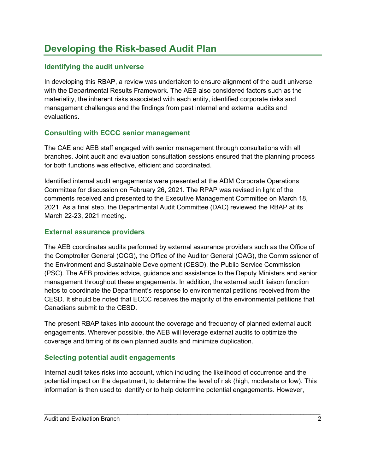## **Developing the Risk-based Audit Plan**

#### **Identifying the audit universe**

In developing this RBAP, a review was undertaken to ensure alignment of the audit universe with the Departmental Results Framework. The AEB also considered factors such as the materiality, the inherent risks associated with each entity, identified corporate risks and management challenges and the findings from past internal and external audits and evaluations.

#### **Consulting with ECCC senior management**

The CAE and AEB staff engaged with senior management through consultations with all branches. Joint audit and evaluation consultation sessions ensured that the planning process for both functions was effective, efficient and coordinated.

Identified internal audit engagements were presented at the ADM Corporate Operations Committee for discussion on February 26, 2021. The RPAP was revised in light of the comments received and presented to the Executive Management Committee on March 18, 2021. As a final step, the Departmental Audit Committee (DAC) reviewed the RBAP at its March 22-23, 2021 meeting.

#### **External assurance providers**

The AEB coordinates audits performed by external assurance providers such as the Office of the Comptroller General (OCG), the Office of the Auditor General (OAG), the Commissioner of the Environment and Sustainable Development (CESD), the Public Service Commission (PSC). The AEB provides advice, guidance and assistance to the Deputy Ministers and senior management throughout these engagements. In addition, the external audit liaison function helps to coordinate the Department's response to environmental petitions received from the CESD. It should be noted that ECCC receives the majority of the environmental petitions that Canadians submit to the CESD.

The present RBAP takes into account the coverage and frequency of planned external audit engagements. Wherever possible, the AEB will leverage external audits to optimize the coverage and timing of its own planned audits and minimize duplication.

#### **Selecting potential audit engagements**

Internal audit takes risks into account, which including the likelihood of occurrence and the potential impact on the department, to determine the level of risk (high, moderate or low). This information is then used to identify or to help determine potential engagements. However,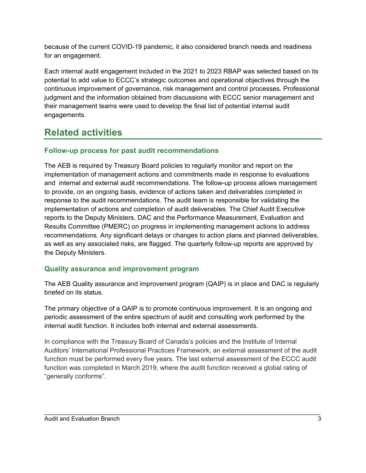because of the current COVID-19 pandemic, it also considered branch needs and readiness for an engagement.

Each internal audit engagement included in the 2021 to 2023 RBAP was selected based on its potential to add value to ECCC's strategic outcomes and operational objectives through the continuous improvement of governance, risk management and control processes. Professional judgment and the information obtained from discussions with ECCC senior management and their management teams were used to develop the final list of potential internal audit engagements.

# **Related activities**

#### **Follow-up process for past audit recommendations**

The AEB is required by Treasury Board policies to regularly monitor and report on the implementation of management actions and commitments made in response to evaluations and internal and external audit recommendations. The follow-up process allows management to provide, on an ongoing basis, evidence of actions taken and deliverables completed in response to the audit recommendations. The audit team is responsible for validating the implementation of actions and completion of audit deliverables. The Chief Audit Executive reports to the Deputy Ministers, DAC and the Performance Measurement, Evaluation and Results Committee (PMERC) on progress in implementing management actions to address recommendations. Any significant delays or changes to action plans and planned deliverables, as well as any associated risks, are flagged. The quarterly follow-up reports are approved by the Deputy Ministers.

#### **Quality assurance and improvement program**

The AEB Quality assurance and improvement program (QAIP) is in place and DAC is regularly briefed on its status.

The primary objective of a QAIP is to promote continuous improvement. It is an ongoing and periodic assessment of the entire spectrum of audit and consulting work performed by the internal audit function. It includes both internal and external assessments.

In compliance with the Treasury Board of Canada's policies and the Institute of Internal Auditors' International Professional Practices Framework, an external assessment of the audit function must be performed every five years. The last external assessment of the ECCC audit function was completed in March 2019, where the audit function received a global rating of "generally conforms".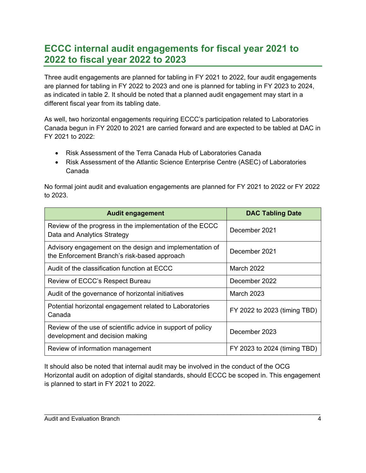## **ECCC internal audit engagements for fiscal year 2021 to 2022 to fiscal year 2022 to 2023**

Three audit engagements are planned for tabling in FY 2021 to 2022, four audit engagements are planned for tabling in FY 2022 to 2023 and one is planned for tabling in FY 2023 to 2024, as indicated in table 2. It should be noted that a planned audit engagement may start in a different fiscal year from its tabling date.

As well, two horizontal engagements requiring ECCC's participation related to Laboratories Canada begun in FY 2020 to 2021 are carried forward and are expected to be tabled at DAC in FY 2021 to 2022:

- Risk Assessment of the Terra Canada Hub of Laboratories Canada
- Risk Assessment of the Atlantic Science Enterprise Centre (ASEC) of Laboratories Canada

No formal joint audit and evaluation engagements are planned for FY 2021 to 2022 or FY 2022 to 2023.

| <b>Audit engagement</b>                                                                                 | <b>DAC Tabling Date</b>      |
|---------------------------------------------------------------------------------------------------------|------------------------------|
| Review of the progress in the implementation of the ECCC<br>Data and Analytics Strategy                 | December 2021                |
| Advisory engagement on the design and implementation of<br>the Enforcement Branch's risk-based approach | December 2021                |
| Audit of the classification function at ECCC                                                            | <b>March 2022</b>            |
| Review of ECCC's Respect Bureau                                                                         | December 2022                |
| Audit of the governance of horizontal initiatives                                                       | <b>March 2023</b>            |
| Potential horizontal engagement related to Laboratories<br>Canada                                       | FY 2022 to 2023 (timing TBD) |
| Review of the use of scientific advice in support of policy<br>development and decision making          | December 2023                |
| Review of information management                                                                        | FY 2023 to 2024 (timing TBD) |

It should also be noted that internal audit may be involved in the conduct of the OCG Horizontal audit on adoption of digital standards, should ECCC be scoped in. This engagement is planned to start in FY 2021 to 2022.